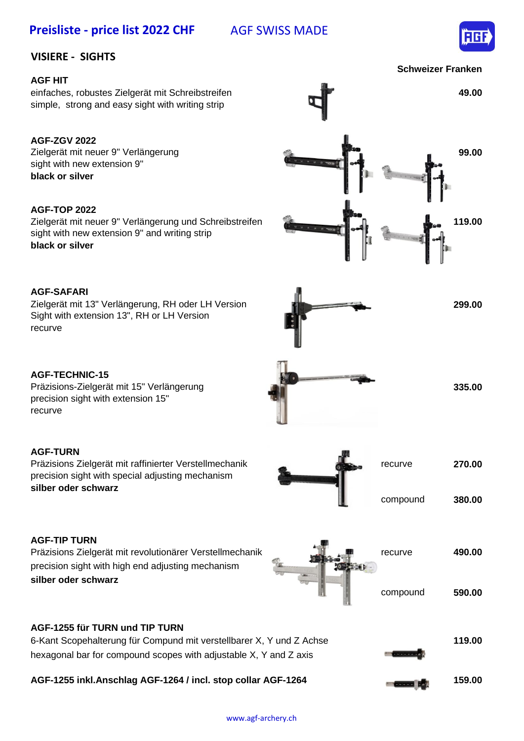# Preisliste - price list 2022 CHF AGF SWISS MADE



### **VISIERE - SIGHTS**

#### **AGF HIT**

einfaches, robustes Zielgerät mit Schreibstreifen **49.00** simple, strong and easy sight with writing strip

#### **AGF-ZGV 2022**

**black or silver** Zielgerät mit neuer 9" Verlängerung sight with new extension 9"

#### **AGF-TOP 2022**

Zielgerät mit neuer 9" Verlängerung und Schreibstreifen **119.00 black or silver** sight with new extension 9" and writing strip



Zielgerät mit 13" Verlängerung, RH oder LH Version **299.00** Sight with extension 13", RH or LH Version recurve

#### **AGF-TECHNIC-15**

Präzisions-Zielgerät mit 15" Verlängerung precision sight with extension 15" recurve

#### **AGF-TURN**

Präzisions Zielgerät mit raffinierter Verstellmechanik **recurve recurve recurve 270.00** precision sight with special adjusting mechanism **silber oder schwarz**



Präzisions Zielgerät mit revolutionärer Verstellmechanik recurve **490.00** precision sight with high end adjusting mechanism **silber oder schwarz**



#### **AGF-1255 für TURN und TIP TURN**

| AGF-1255 inkl.Anschlag AGF-1264 / incl. stop collar AGF-1264<br>159.00<br><b>Concrete co</b>                                                                          |        |
|-----------------------------------------------------------------------------------------------------------------------------------------------------------------------|--------|
| 6-Kant Scopehalterung für Compund mit verstellbarer X, Y und Z Achse<br><b><i>Properties</i></b><br>hexagonal bar for compound scopes with adjustable X, Y and Z axis | 119.00 |





**335.00**



**Schweizer Franken**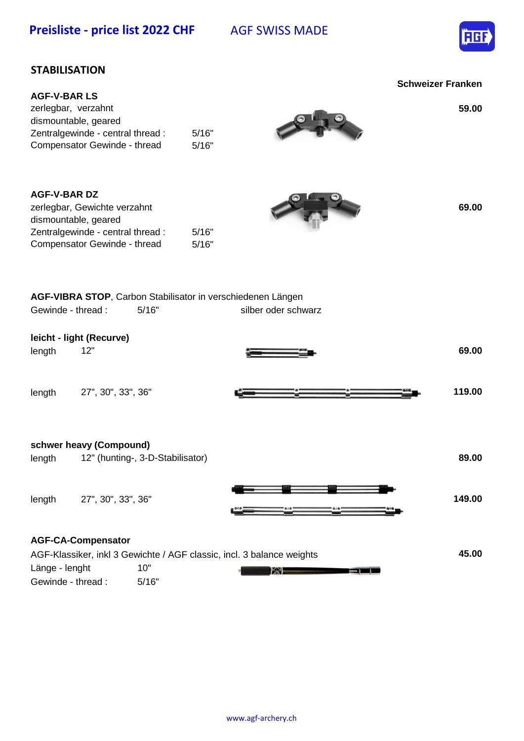Preisliste - price list 2022 CHF AGF SWISS MADE



## **STABILISATION**

|                                                                                                                                         |                                  | <b>Schweizer Franken</b> |
|-----------------------------------------------------------------------------------------------------------------------------------------|----------------------------------|--------------------------|
| <b>AGF-V-BAR LS</b><br>zerlegbar, verzahnt<br>dismountable, geared<br>Zentralgewinde - central thread :<br>Compensator Gewinde - thread | 5/16"<br>5/16"                   | 59.00                    |
| <b>AGF-V-BAR DZ</b><br>zerlegbar, Gewichte verzahnt<br>dismountable, geared<br>Zentralgewinde - central thread :                        | 5/16"                            | 69.00                    |
| Compensator Gewinde - thread                                                                                                            | 5/16"                            |                          |
| AGF-VIBRA STOP, Carbon Stabilisator in verschiedenen Längen<br>Gewinde - thread :                                                       | 5/16"                            | silber oder schwarz      |
| leicht - light (Recurve)                                                                                                                |                                  |                          |
| 12"<br>length                                                                                                                           |                                  | 69.00                    |
| 27", 30", 33", 36"<br>length                                                                                                            |                                  | 119.00                   |
| schwer heavy (Compound)                                                                                                                 |                                  |                          |
| length                                                                                                                                  | 12" (hunting-, 3-D-Stabilisator) | 89.00                    |
| 27", 30", 33", 36"<br>length                                                                                                            |                                  | 149.00                   |
| <b>AGF-CA-Compensator</b>                                                                                                               |                                  |                          |
| AGF-Klassiker, inkl 3 Gewichte / AGF classic, incl. 3 balance weights                                                                   |                                  | 45.00                    |

Gewinde - thread : 5/16"

Länge - lenght 10"

www.agf-archery.ch

and KX and the second second second second second second second second second second second second second second